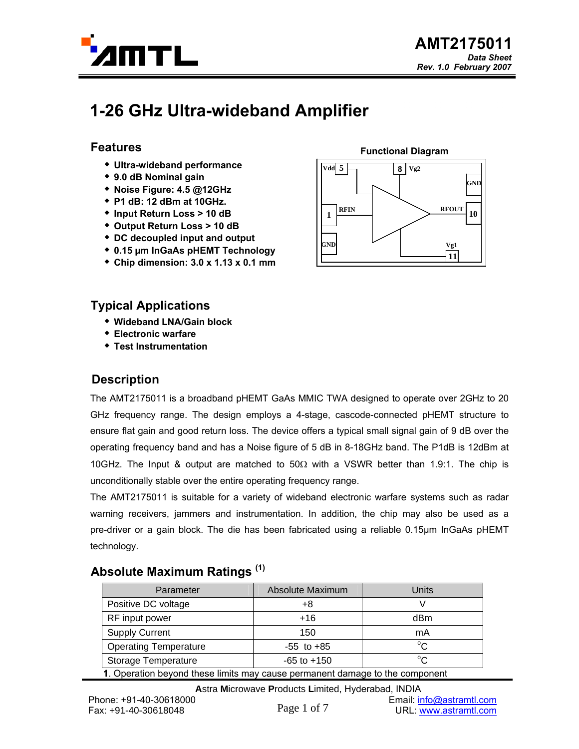

# **1-26 GHz Ultra-wideband Amplifier**

#### **Features**

- **Ultra-wideband performance**
- **9.0 dB Nominal gain**
- **Noise Figure: 4.5 @12GHz**
- **P1 dB: 12 dBm at 10GHz.**
- **Input Return Loss > 10 dB**
- **Output Return Loss > 10 dB**
- **DC decoupled input and output**
- **0.15 µm InGaAs pHEMT Technology**
- **Chip dimension: 3.0 x 1.13 x 0.1 mm**

## **Typical Applications**

- **Wideband LNA/Gain block**
- **Electronic warfare**
- **Test Instrumentation**

### **Description**

The AMT2175011 is a broadband pHEMT GaAs MMIC TWA designed to operate over 2GHz to 20 GHz frequency range. The design employs a 4-stage, cascode-connected pHEMT structure to ensure flat gain and good return loss. The device offers a typical small signal gain of 9 dB over the operating frequency band and has a Noise figure of 5 dB in 8-18GHz band. The P1dB is 12dBm at 10GHz. The Input & output are matched to  $50\Omega$  with a VSWR better than 1.9:1. The chip is unconditionally stable over the entire operating frequency range.

The AMT2175011 is suitable for a variety of wideband electronic warfare systems such as radar warning receivers, jammers and instrumentation. In addition, the chip may also be used as a pre-driver or a gain block. The die has been fabricated using a reliable 0.15µm InGaAs pHEMT technology.

#### **Absolute Maximum Ratings (1)**

| Parameter                                                                    | Absolute Maximum | Units        |  |  |
|------------------------------------------------------------------------------|------------------|--------------|--|--|
| Positive DC voltage                                                          | +8               |              |  |  |
| RF input power                                                               | $+16$            | dBm          |  |  |
| <b>Supply Current</b>                                                        | 150              | mA           |  |  |
| <b>Operating Temperature</b>                                                 | $-55$ to $+85$   | $^{\circ}C$  |  |  |
| Storage Temperature                                                          | $-65$ to $+150$  | $^{\circ}$ C |  |  |
| 1. Operation beyond these limits may cause permanent damage to the component |                  |              |  |  |

**A**stra **M**icrowave **P**roducts **L**imited, Hyderabad, INDIA

**Functional Diagram** 

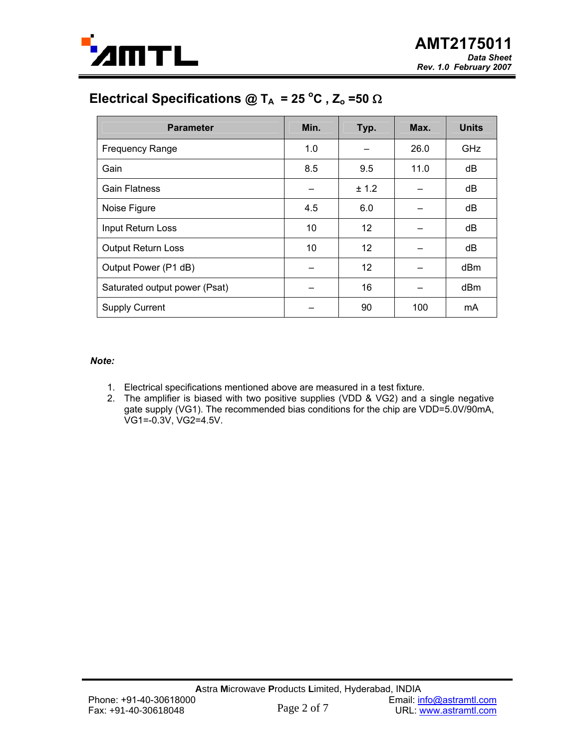

| Electrical Specifications @ T <sub>A</sub> = 25 °C, Z <sub>o</sub> =50 $\Omega$ |  |
|---------------------------------------------------------------------------------|--|
|---------------------------------------------------------------------------------|--|

| <b>Parameter</b>              | Min. | Typ.  | Max. | <b>Units</b> |
|-------------------------------|------|-------|------|--------------|
| <b>Frequency Range</b>        | 1.0  |       | 26.0 | GHz          |
| Gain                          | 8.5  | 9.5   | 11.0 | dB           |
| <b>Gain Flatness</b>          |      | ± 1.2 |      | dB           |
| Noise Figure                  | 4.5  | 6.0   |      | dB           |
| Input Return Loss             | 10   | 12    |      | dB           |
| <b>Output Return Loss</b>     | 10   | 12    |      | dB           |
| Output Power (P1 dB)          |      | 12    |      | dBm          |
| Saturated output power (Psat) |      | 16    |      | dBm          |
| <b>Supply Current</b>         |      | 90    | 100  | mA           |

*Note:* 

- 1. Electrical specifications mentioned above are measured in a test fixture.
- 2. The amplifier is biased with two positive supplies (VDD & VG2) and a single negative gate supply (VG1). The recommended bias conditions for the chip are VDD=5.0V/90mA, VG1=-0.3V, VG2=4.5V.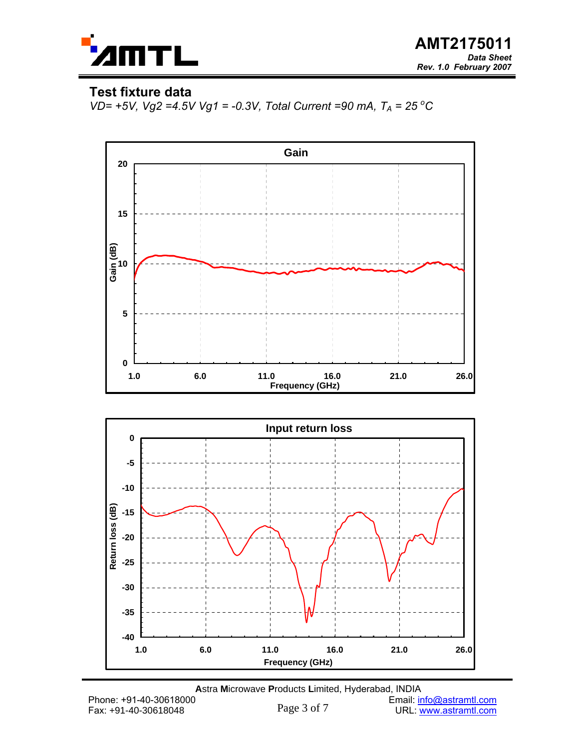

#### **Test fixture data**

*VD= +5V, Vg2 =4.5V Vg1 = -0.3V, Total Current =90 mA, TA = 25 <sup>o</sup> C* 



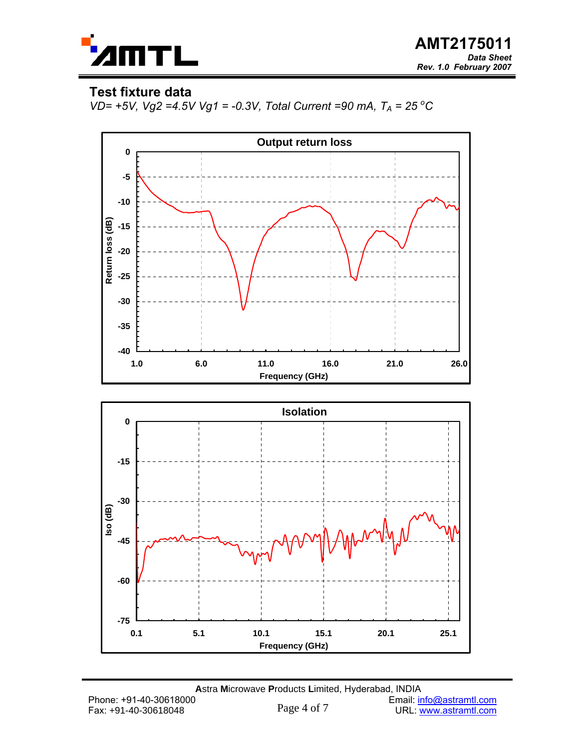

#### **Test fixture data**

*VD= +5V, Vg2 =4.5V Vg1 = -0.3V, Total Current =90 mA, TA = 25 <sup>o</sup> C* 



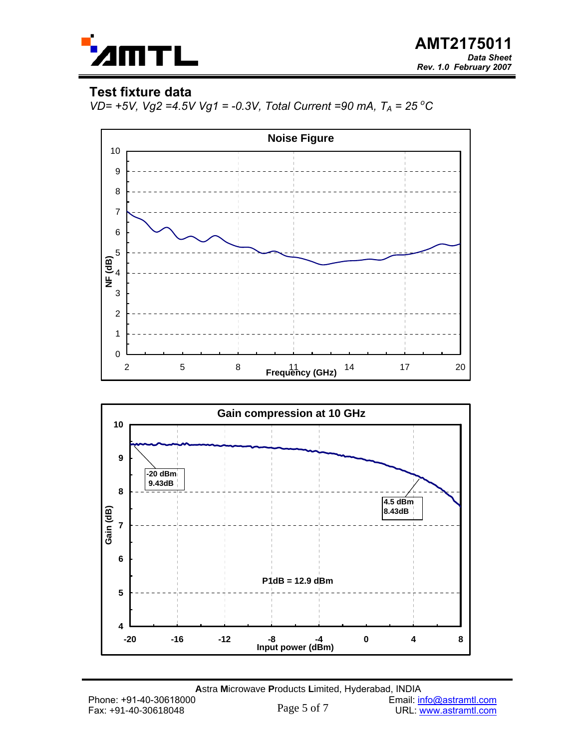

#### **Test fixture data**

*VD= +5V, Vg2 =4.5V Vg1 = -0.3V, Total Current =90 mA, TA = 25 <sup>o</sup> C* 



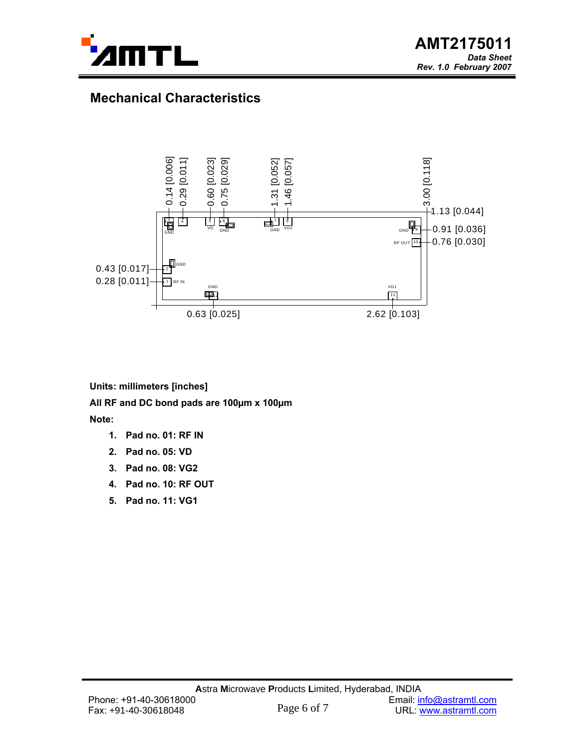

## **Mechanical Characteristics**



**Units: millimeters [inches] All RF and DC bond pads are 100µm x 100µm Note:** 

- **1. Pad no. 01: RF IN**
- **2. Pad no. 05: VD**
- **3. Pad no. 08: VG2**
- **4. Pad no. 10: RF OUT**
- **5. Pad no. 11: VG1**